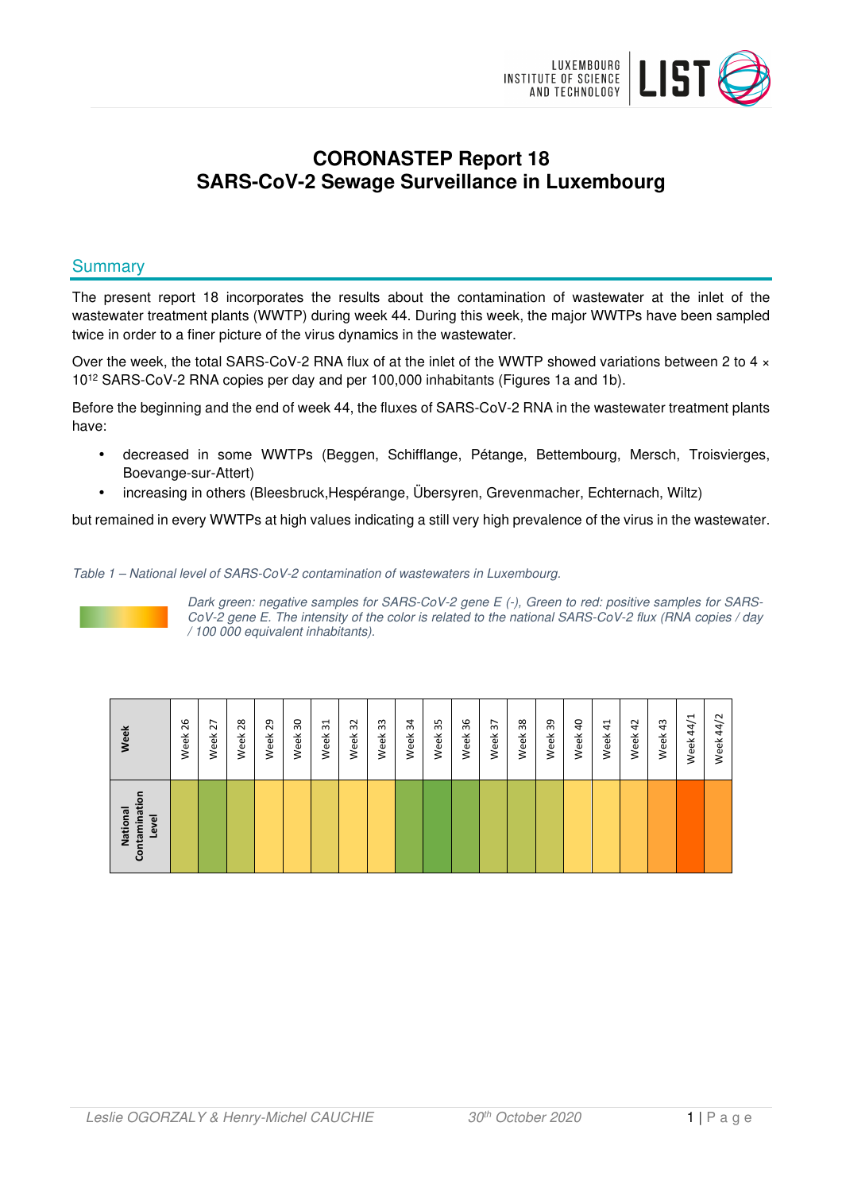

# **CORONASTEP Report 18 SARS-CoV-2 Sewage Surveillance in Luxembourg**

# **Summary**

The present report 18 incorporates the results about the contamination of wastewater at the inlet of the wastewater treatment plants (WWTP) during week 44. During this week, the major WWTPs have been sampled twice in order to a finer picture of the virus dynamics in the wastewater.

Over the week, the total SARS-CoV-2 RNA flux of at the inlet of the WWTP showed variations between 2 to 4  $\times$ 10<sup>12</sup> SARS-CoV-2 RNA copies per day and per 100,000 inhabitants (Figures 1a and 1b).

Before the beginning and the end of week 44, the fluxes of SARS-CoV-2 RNA in the wastewater treatment plants have:

- decreased in some WWTPs (Beggen, Schifflange, Pétange, Bettembourg, Mersch, Troisvierges, Boevange-sur-Attert)
- increasing in others (Bleesbruck,Hespérange, Übersyren, Grevenmacher, Echternach, Wiltz)

but remained in every WWTPs at high values indicating a still very high prevalence of the virus in the wastewater.

Table 1 – National level of SARS-CoV-2 contamination of wastewaters in Luxembourg.



Dark green: negative samples for SARS-CoV-2 gene E (-), Green to red: positive samples for SARS-CoV-2 gene E. The intensity of the color is related to the national SARS-CoV-2 flux (RNA copies / day / 100 000 equivalent inhabitants).

| Week                              | 26   | 27   | 28   | 29   | $\overline{50}$ | $\overline{31}$ | 32   | 33   | 34   | 35   | 36   | $\mathfrak{L}$ | 38   | 39   | $\overline{a}$ | 41   | 42   | 43   | 44/1 | 44/2 |
|-----------------------------------|------|------|------|------|-----------------|-----------------|------|------|------|------|------|----------------|------|------|----------------|------|------|------|------|------|
|                                   | Week | Week | Week | Week | Week            | Week            | Week | Week | Week | Week | Week | Week           | Week | Week | Week           | Week | Week | Week | Week | Week |
| Contaminatio<br>National<br>Level |      |      |      |      |                 |                 |      |      |      |      |      |                |      |      |                |      |      |      |      |      |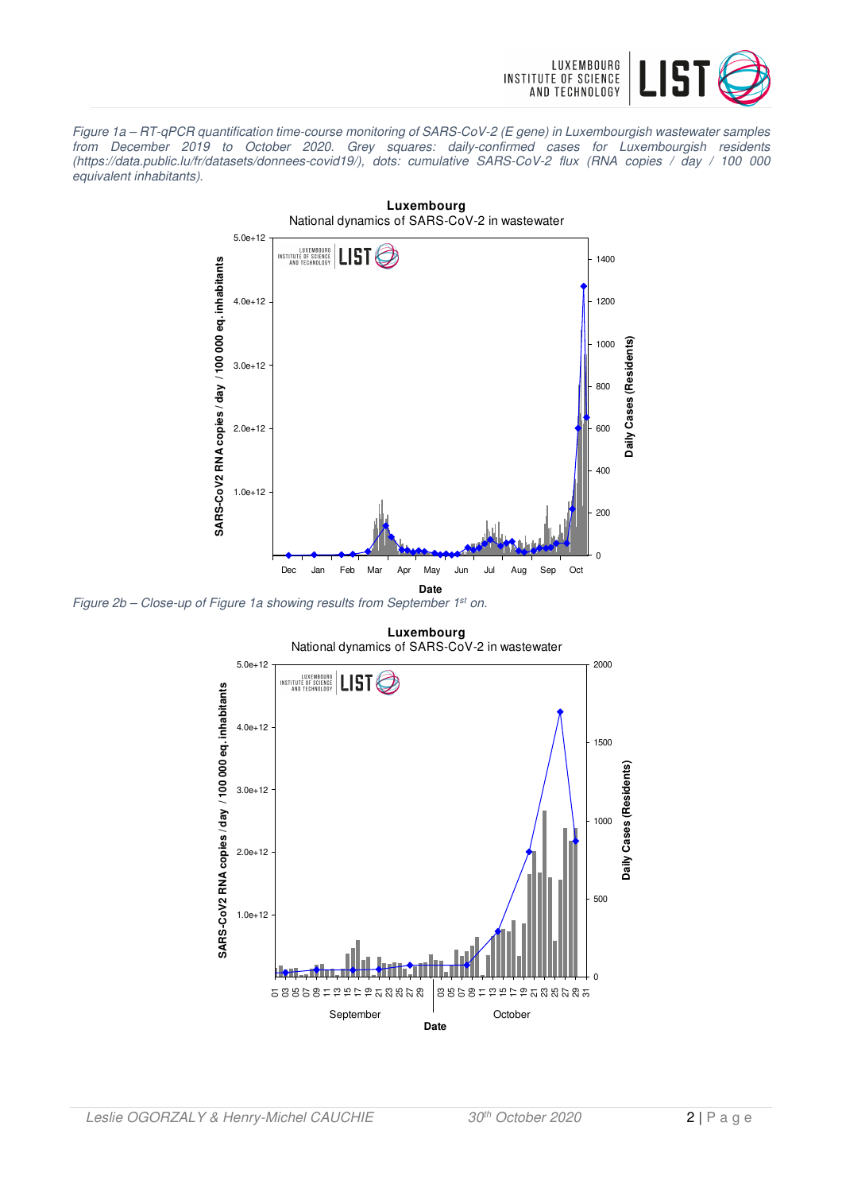

Figure 1a – RT-qPCR quantification time-course monitoring of SARS-CoV-2 (E gene) in Luxembourgish wastewater samples from December 2019 to October 2020. Grey squares: daily-confirmed cases for Luxembourgish residents (https://data.public.lu/fr/datasets/donnees-covid19/), dots: cumulative SARS-CoV-2 flux (RNA copies / day / 100 000 equivalent inhabitants).



Figure 2b – Close-up of Figure 1a showing results from September 1<sup>st</sup> on.

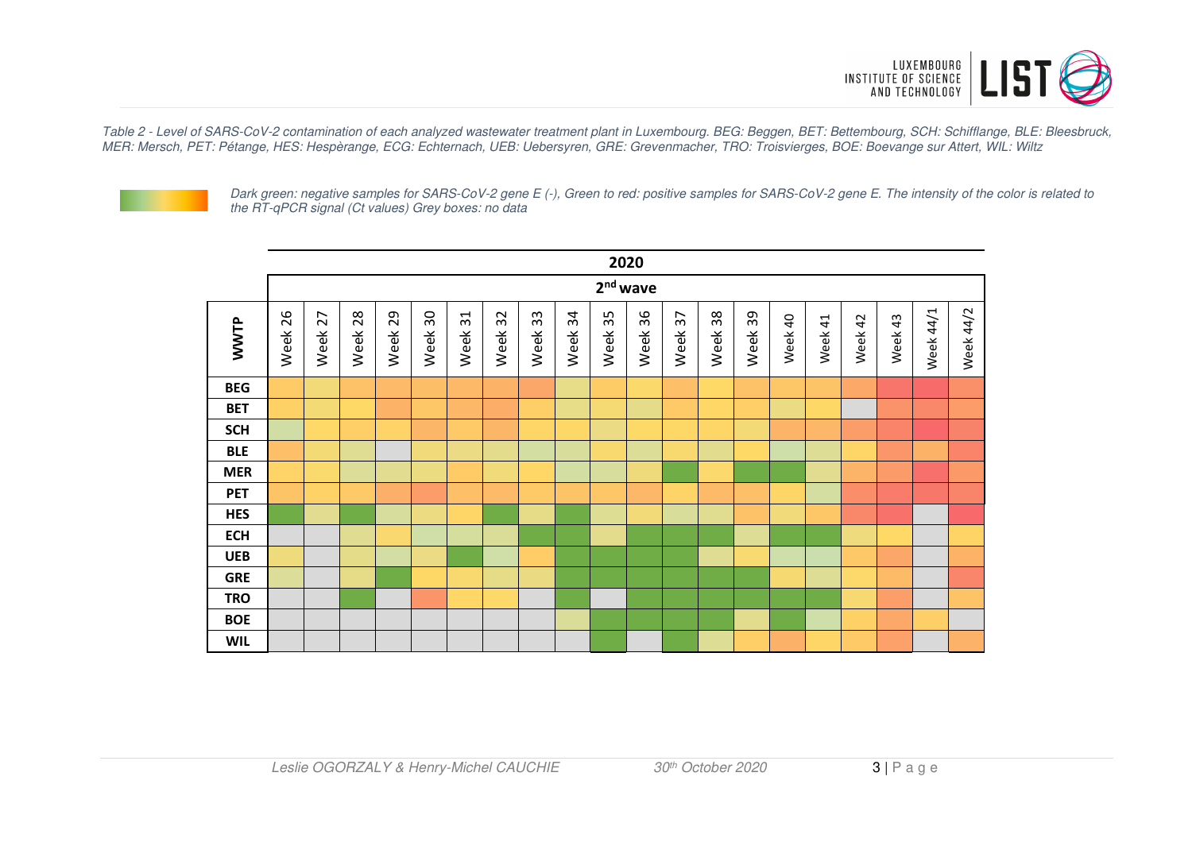

Table 2 - Level of SARS-CoV-2 contamination of each analyzed wastewater treatment plant in Luxembourg. BEG: Beggen, BET: Bettembourg, SCH: Schifflange, BLE: Bleesbruck, MER: Mersch, PET: Pétange, HES: Hespèrange, ECG: Echternach, UEB: Uebersyren, GRE: Grevenmacher, TRO: Troisvierges, BOE: Boevange sur Attert, WIL: Wiltz



Dark green: negative samples for SARS-CoV-2 gene E (-), Green to red: positive samples for SARS-CoV-2 gene E. The intensity of the color is related to the RT-qPCR signal (Ct values) Grey boxes: no data

|            |            |            |            |            |                                 |            |            |                |            |            | 2020    |                        |            |            |         |         |                        |         |           |           |
|------------|------------|------------|------------|------------|---------------------------------|------------|------------|----------------|------------|------------|---------|------------------------|------------|------------|---------|---------|------------------------|---------|-----------|-----------|
|            | $2nd$ wave |            |            |            |                                 |            |            |                |            |            |         |                        |            |            |         |         |                        |         |           |           |
| WWTP       | 26<br>Week | 27<br>Week | 28<br>Week | 29<br>Week | $\overline{\mathrm{S}}$<br>Week | 31<br>Week | 32<br>Week | $33\,$<br>Week | 34<br>Week | 35<br>Week | Week 36 | $\overline{5}$<br>Week | 38<br>Week | 39<br>Week | Week 40 | Week 41 | $\overline{4}$<br>Week | Week 43 | Week 44/1 | Week 44/2 |
| <b>BEG</b> |            |            |            |            |                                 |            |            |                |            |            |         |                        |            |            |         |         |                        |         |           |           |
| <b>BET</b> |            |            |            |            |                                 |            |            |                |            |            |         |                        |            |            |         |         |                        |         |           |           |
| <b>SCH</b> |            |            |            |            |                                 |            |            |                |            |            |         |                        |            |            |         |         |                        |         |           |           |
| <b>BLE</b> |            |            |            |            |                                 |            |            |                |            |            |         |                        |            |            |         |         |                        |         |           |           |
| <b>MER</b> |            |            |            |            |                                 |            |            |                |            |            |         |                        |            |            |         |         |                        |         |           |           |
| <b>PET</b> |            |            |            |            |                                 |            |            |                |            |            |         |                        |            |            |         |         |                        |         |           |           |
| <b>HES</b> |            |            |            |            |                                 |            |            |                |            |            |         |                        |            |            |         |         |                        |         |           |           |
| <b>ECH</b> |            |            |            |            |                                 |            |            |                |            |            |         |                        |            |            |         |         |                        |         |           |           |
| <b>UEB</b> |            |            |            |            |                                 |            |            |                |            |            |         |                        |            |            |         |         |                        |         |           |           |
| <b>GRE</b> |            |            |            |            |                                 |            |            |                |            |            |         |                        |            |            |         |         |                        |         |           |           |
| <b>TRO</b> |            |            |            |            |                                 |            |            |                |            |            |         |                        |            |            |         |         |                        |         |           |           |
| <b>BOE</b> |            |            |            |            |                                 |            |            |                |            |            |         |                        |            |            |         |         |                        |         |           |           |
| <b>WIL</b> |            |            |            |            |                                 |            |            |                |            |            |         |                        |            |            |         |         |                        |         |           |           |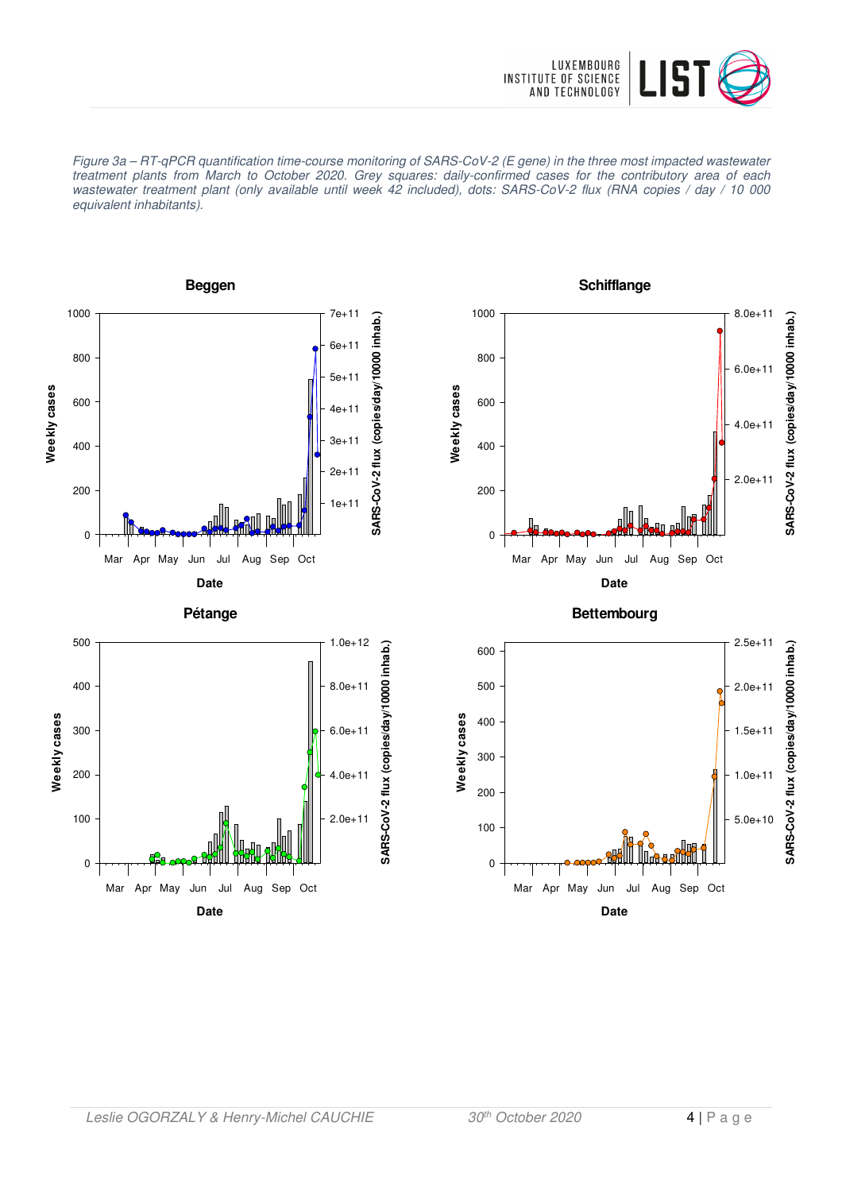

Figure 3a – RT-qPCR quantification time-course monitoring of SARS-CoV-2 (E gene) in the three most impacted wastewater treatment plants from March to October 2020. Grey squares: daily-confirmed cases for the contributory area of each wastewater treatment plant (only available until week 42 included), dots: SARS-CoV-2 flux (RNA copies / day / 10 000 equivalent inhabitants).

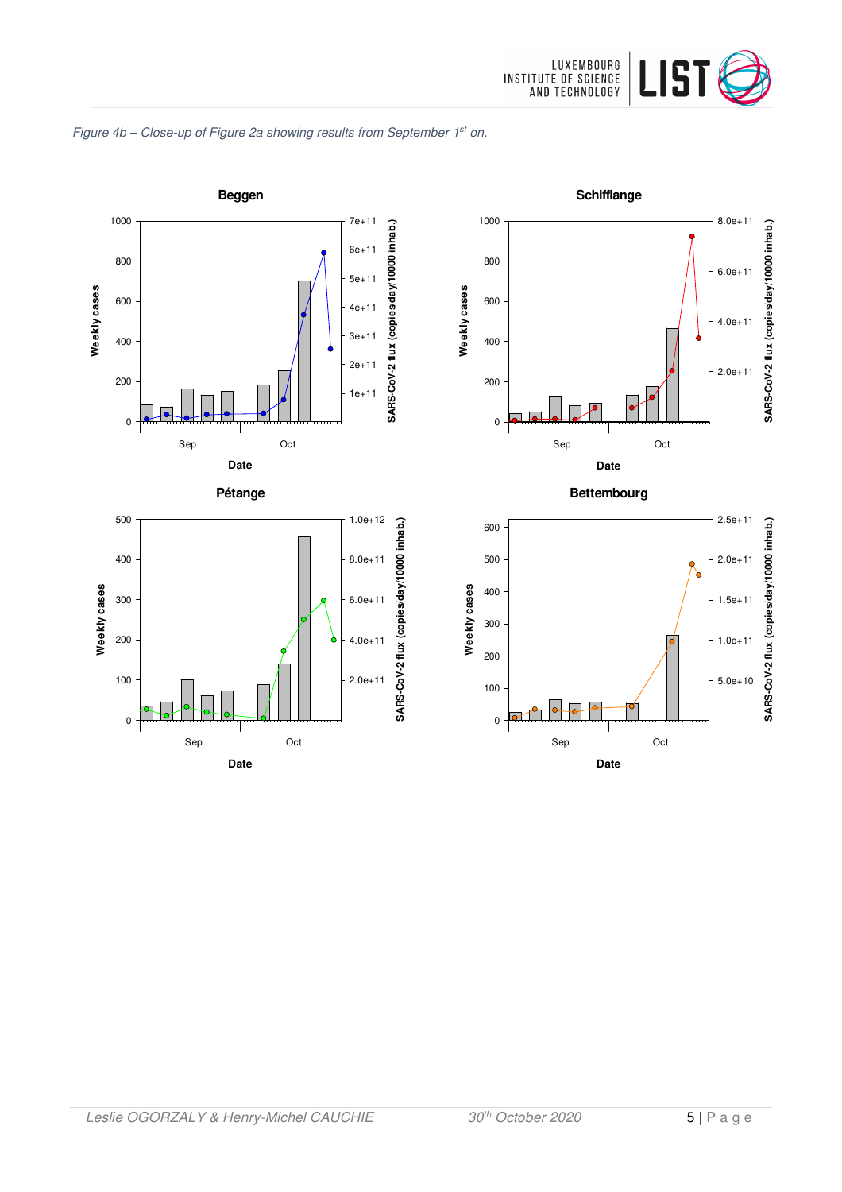

#### Figure 4b - Close-up of Figure 2a showing results from September 1st on.

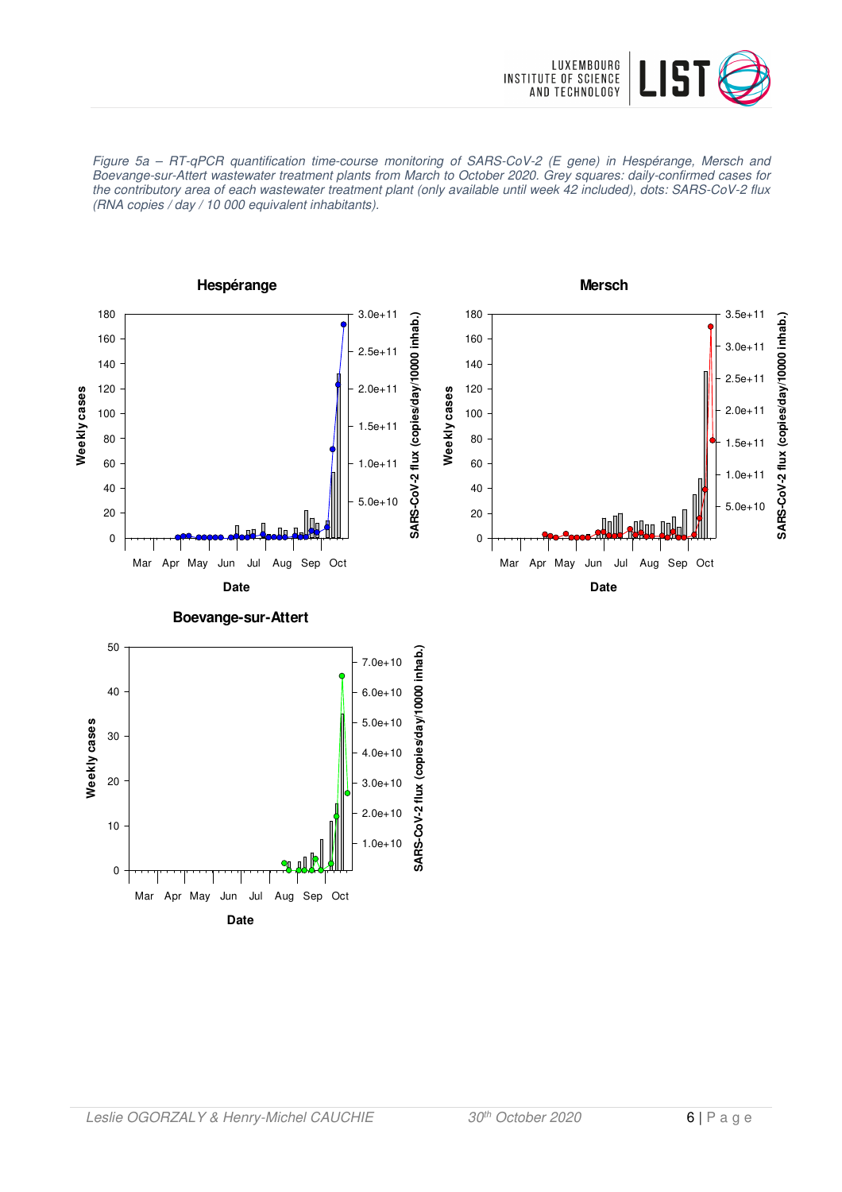

Figure 5a – RT-qPCR quantification time-course monitoring of SARS-CoV-2 (E gene) in Hespérange, Mersch and Boevange-sur-Attert wastewater treatment plants from March to October 2020. Grey squares: daily-confirmed cases for the contributory area of each wastewater treatment plant (only available until week 42 included), dots: SARS-CoV-2 flux (RNA copies / day / 10 000 equivalent inhabitants).

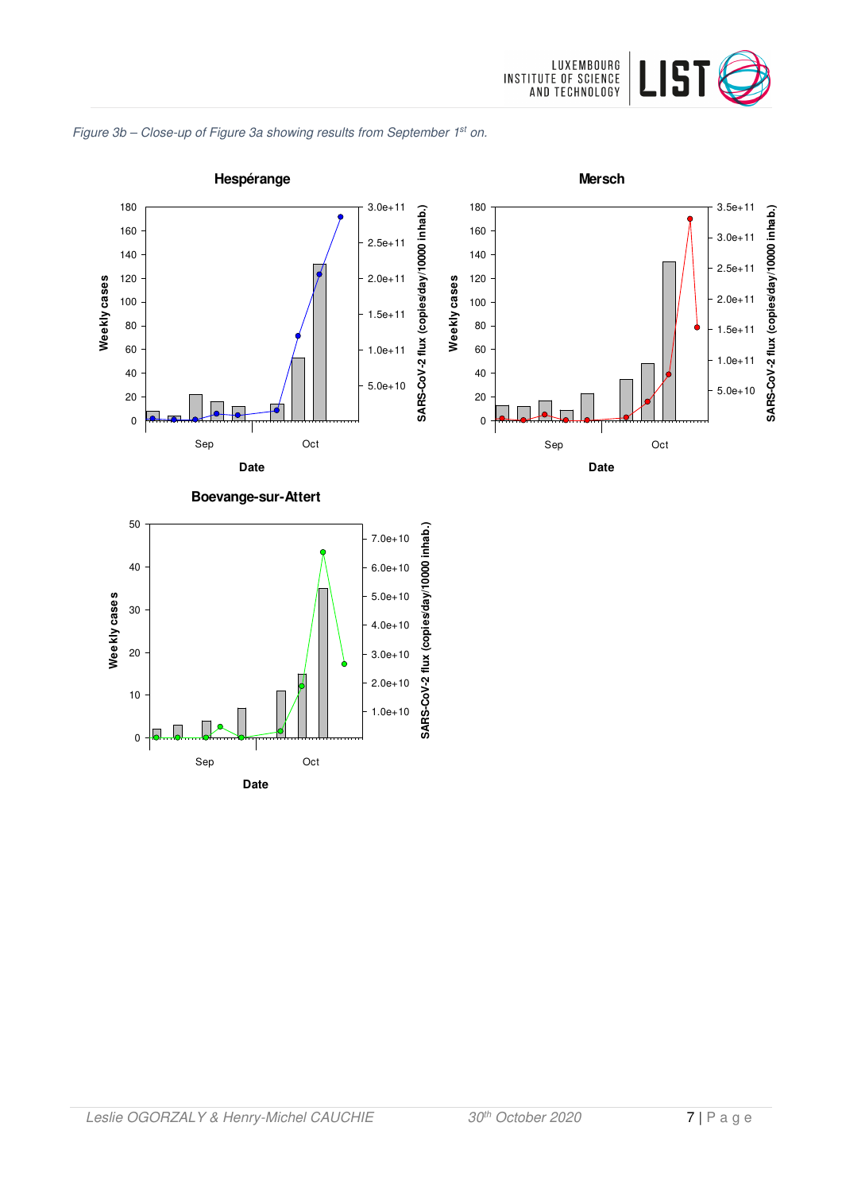



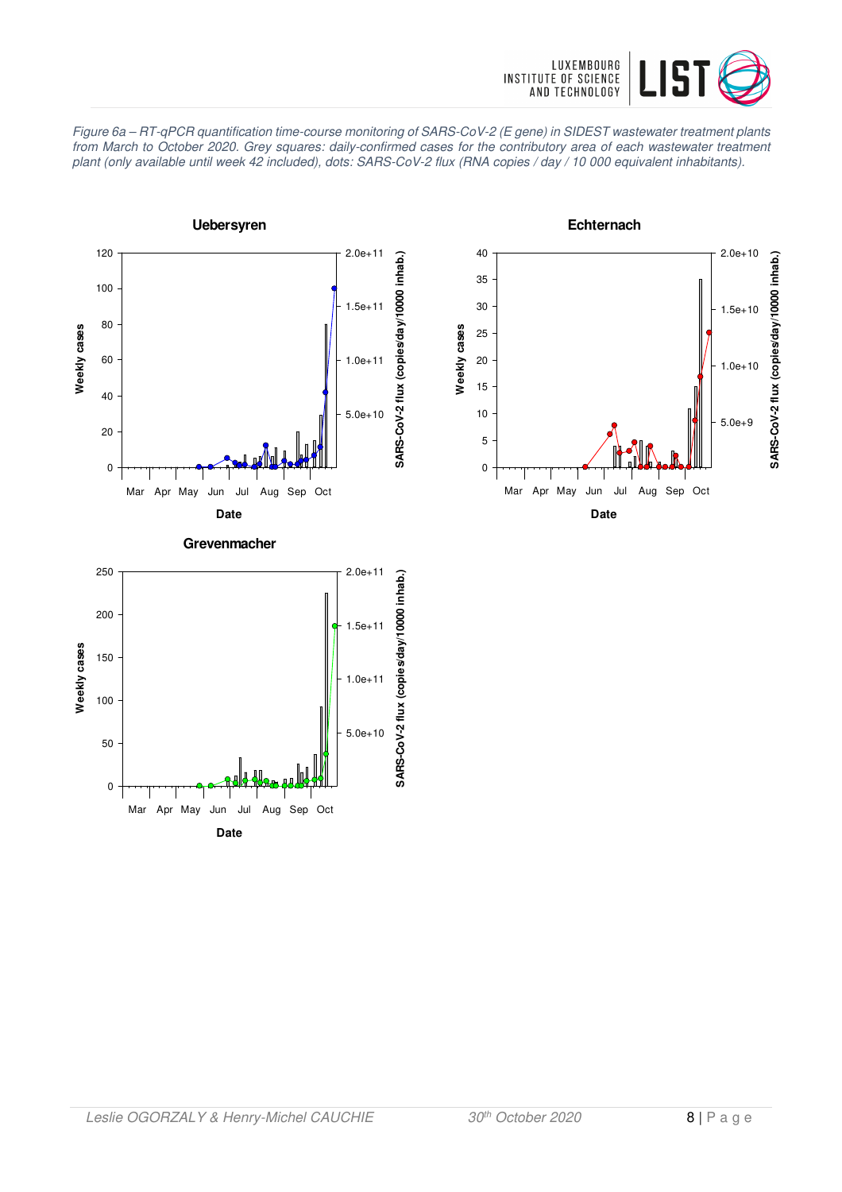

Figure 6a – RT-qPCR quantification time-course monitoring of SARS-CoV-2 (E gene) in SIDEST wastewater treatment plants from March to October 2020. Grey squares: daily-confirmed cases for the contributory area of each wastewater treatment plant (only available until week 42 included), dots: SARS-CoV-2 flux (RNA copies / day / 10 000 equivalent inhabitants).





**Date** Mar Apr May Jun Jul Aug Sep Oct

0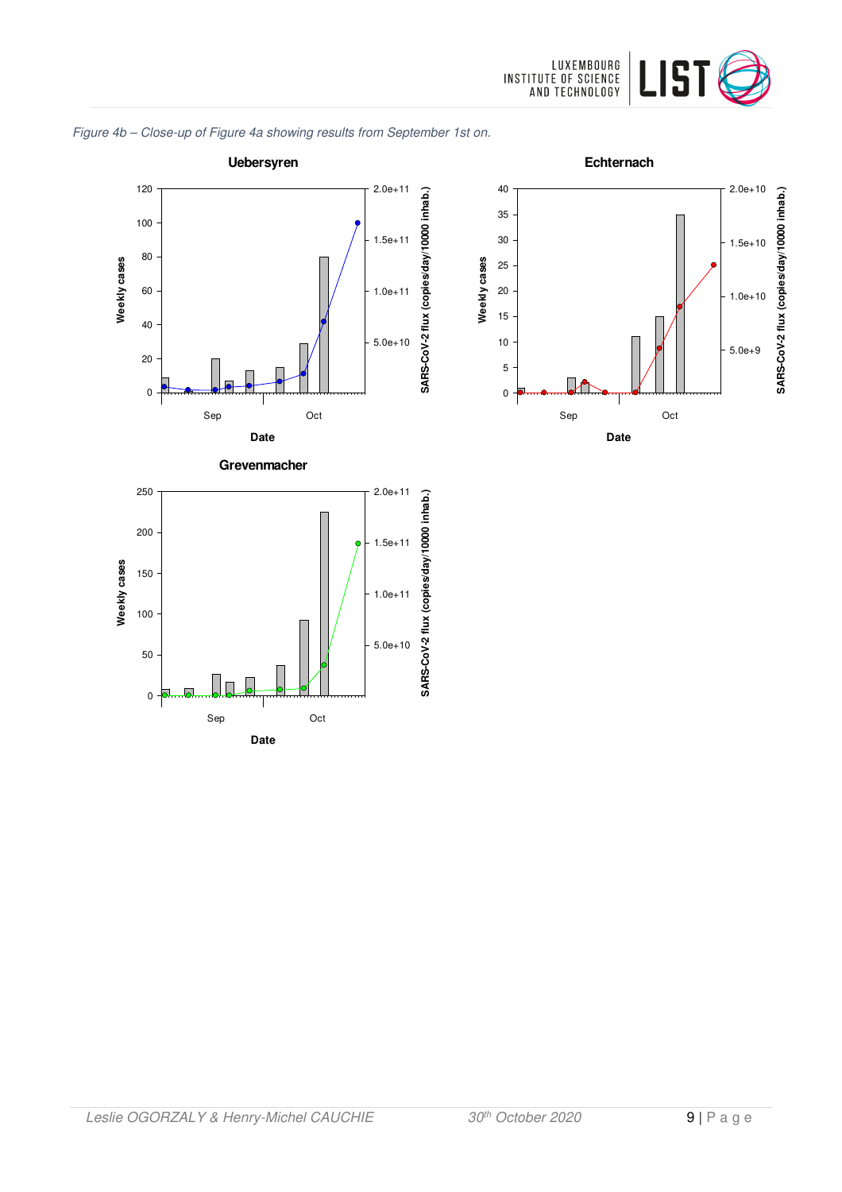

#### Figure 4b – Close-up of Figure 4a showing results from September 1st on.



**Date**

5.0e+10

0

50

100

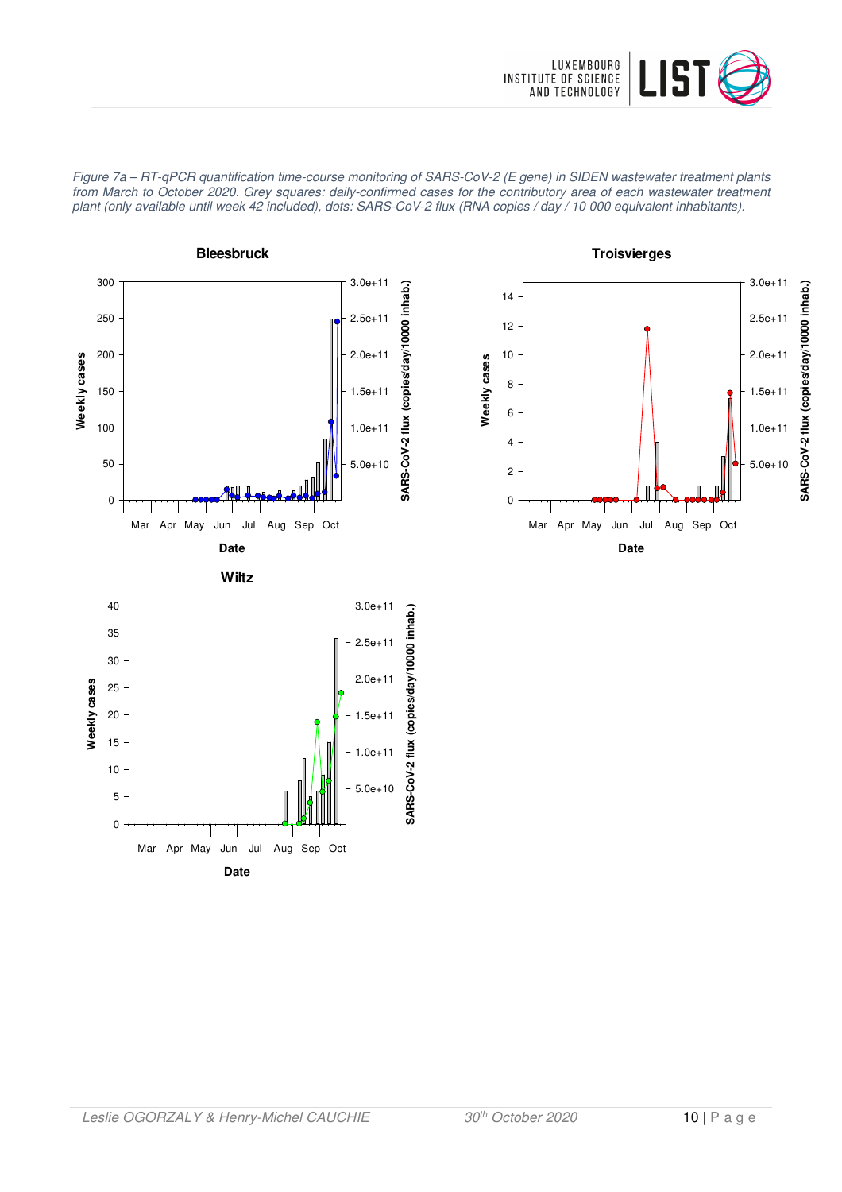

Figure 7a – RT-qPCR quantification time-course monitoring of SARS-CoV-2 (E gene) in SIDEN wastewater treatment plants from March to October 2020. Grey squares: daily-confirmed cases for the contributory area of each wastewater treatment plant (only available until week 42 included), dots: SARS-CoV-2 flux (RNA copies / day / 10 000 equivalent inhabitants).





**Troisvierges**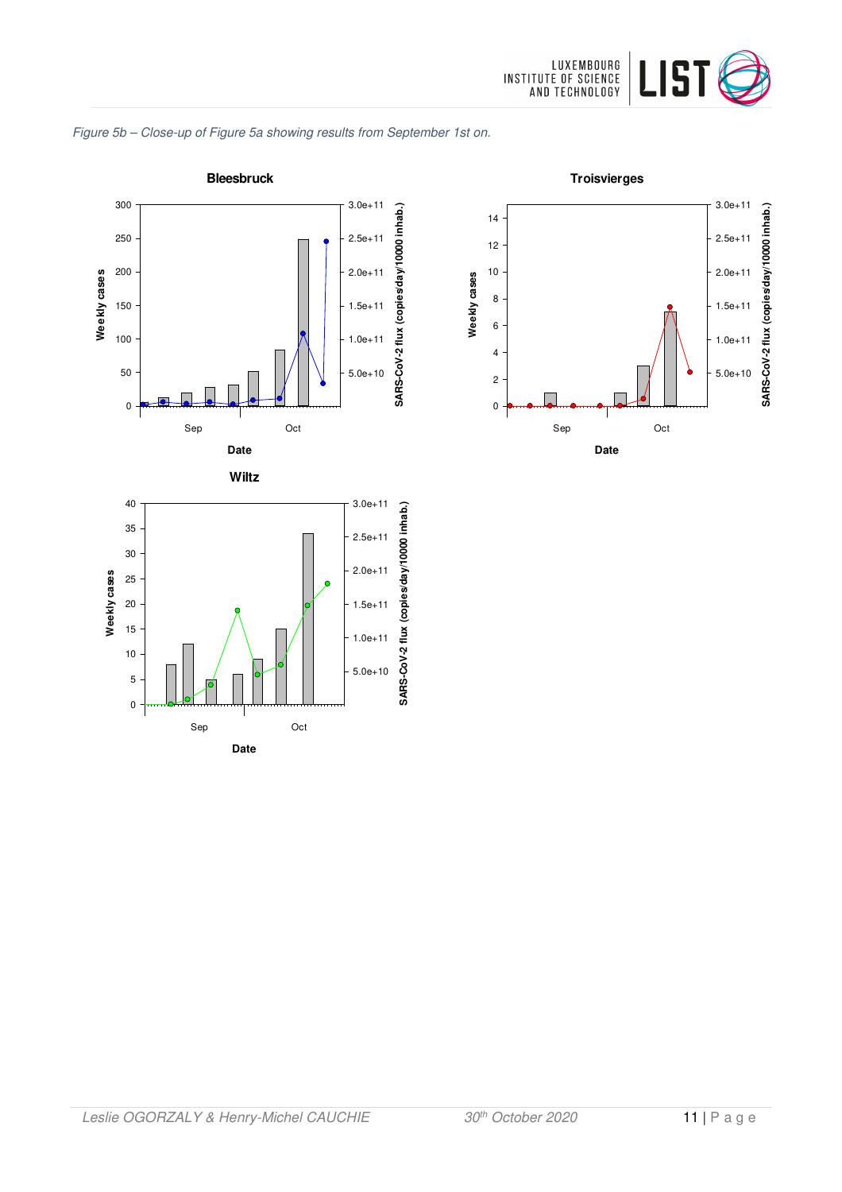

#### Figure 5b – Close-up of Figure 5a showing results from September 1st on.



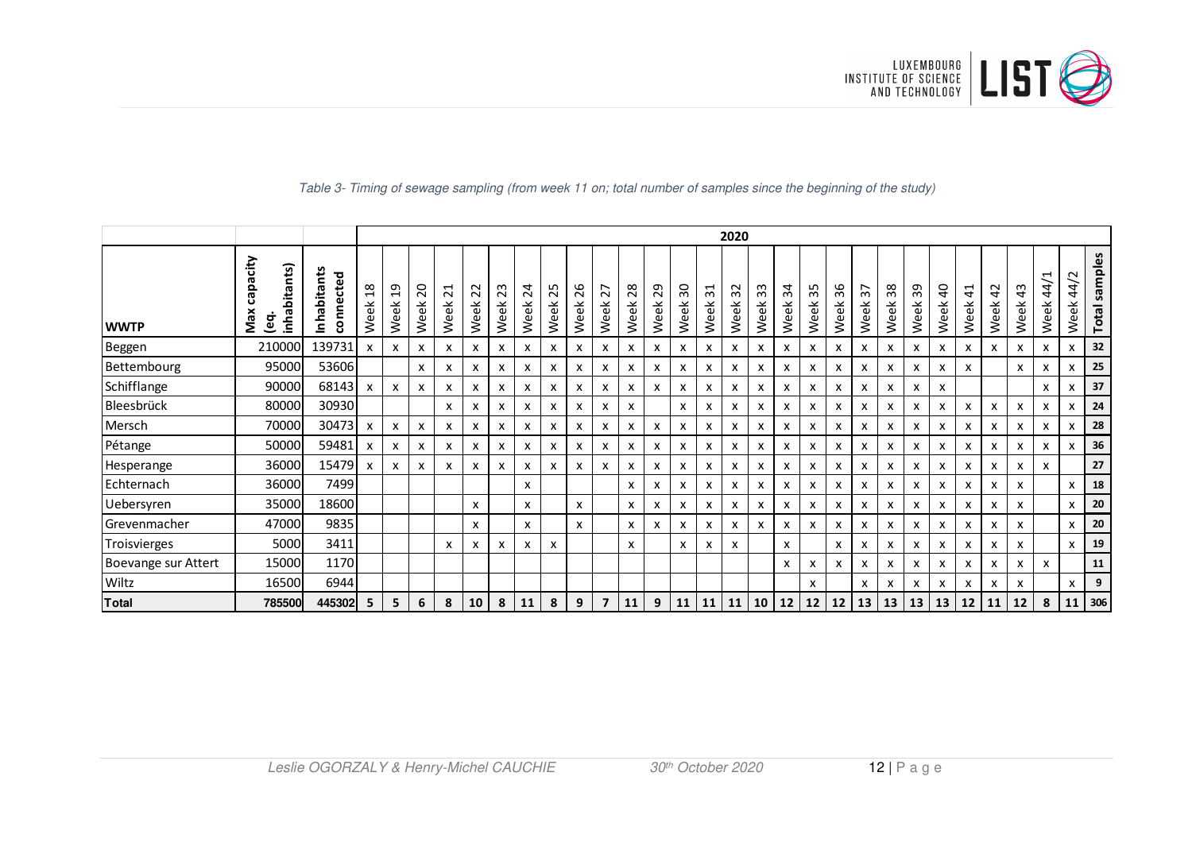

|                     |                                              |                          |                                                                | 2020                      |               |                                             |            |            |                                                  |            |            |                |              |            |            |                         |            |                |                           |                                  |                                 |                         |                           |            |                           |                           |                        |                       |              |                     |               |
|---------------------|----------------------------------------------|--------------------------|----------------------------------------------------------------|---------------------------|---------------|---------------------------------------------|------------|------------|--------------------------------------------------|------------|------------|----------------|--------------|------------|------------|-------------------------|------------|----------------|---------------------------|----------------------------------|---------------------------------|-------------------------|---------------------------|------------|---------------------------|---------------------------|------------------------|-----------------------|--------------|---------------------|---------------|
| <b>WWTP</b>         | capacity<br>bitants)<br>Max<br>lenhai<br>ဋ္ဌ | Inhabitants<br>connected | $\infty$<br>$\mathbf{\mathbf{\mathbf{\mathsf{H}}}}$<br>ŤΦ<br>Š | $\overline{a}$<br>Week    | 20<br>ŤΦ<br>Š | $\overline{z}$<br>$\breve{\mathrm{e}}$<br>Š | 22<br>Week | 23<br>Week | $\overline{a}$<br>る<br>$\mathsf{v}^{\mathsf{e}}$ | 25<br>Week | 26<br>Week | 27<br>Week     | 28<br>Week   | 29<br>Week | 30<br>Week | $\overline{3}1$<br>Week | 32<br>Week | m<br>m<br>Week | 34<br>Week                | 35<br>畜<br>$\sum_{i=1}^{\infty}$ | 36<br>$\breve{\mathrm{e}}$<br>Š | $\overline{37}$<br>Week | 38<br>畜<br>$\aleph$       | 39<br>Week | ੩<br>Week                 | $\ddot{4}$<br>Week        | $\overline{a}$<br>Week | $\frac{4}{3}$<br>Week | 44/1<br>Week | $\sim$<br>4<br>Week | Total samples |
| Beggen              | 210000                                       | 139731                   |                                                                | $\boldsymbol{\mathsf{x}}$ | x             | x                                           | x          | X          | x                                                | X          | X          | X              | x            | x          | x          | x                       | X          | x              | x                         | X                                | x                               | x                       | x                         | x          | $\boldsymbol{\mathsf{x}}$ | $\boldsymbol{\mathsf{x}}$ | x                      | x                     | x            | x                   | 32            |
| Bettembourg         | 95000                                        | 53606                    |                                                                |                           | x             | x                                           | X          | x          | x                                                | X          | x          | X              | x            | x          | x          | x                       | X          | x              | x                         | x                                | x                               | x                       | x                         | x          | x                         | X                         |                        | x                     | x            | x                   | 25            |
| Schifflange         | 90000                                        | 68143                    | $\boldsymbol{\mathsf{x}}$                                      | $\mathsf{x}$              | x             | x                                           | x          | х          | х                                                | X          | X          | X              | $\mathsf{x}$ | x          | x          | x                       | x          | x              | х                         | x                                | x                               | x                       | x                         | x          | X                         |                           |                        |                       | x            | x                   | 37            |
| Bleesbrück          | 80000                                        | 30930                    |                                                                |                           |               | x                                           | x          | x          | х                                                | X          | x          | x              | x            |            | x          | x                       | х          | х              | x                         | x                                | x                               | x                       | x                         | x          | x                         | x                         | X                      | x                     | x            | x                   | 24            |
| Mersch              | 70000                                        | 30473                    | $\boldsymbol{\mathsf{x}}$                                      | $\boldsymbol{\mathsf{x}}$ | X             | x                                           | x          | х          | x                                                | x          | x          | x              | x            | x          | x          | x                       | x          | x              | x                         | X                                | x                               | x                       | x                         | x          | x                         | x                         | x                      | x                     | x            | x                   | 28            |
| Pétange             | 50000                                        | 59481                    | x                                                              | x                         | x             | x                                           | x          | x          | x                                                | x          | x          | X              | x            | x          | x          | x                       | x          | x              | x                         | x                                | x                               | x                       | x                         | x          | x                         | х                         | x                      | x                     | x            | x                   | 36            |
| Hesperange          | 36000                                        | 15479                    | $\boldsymbol{\mathsf{x}}$                                      | x                         | X             | x                                           | x          | X          | х                                                | x          | x          | x              | x            | x          | x          | x                       | x          | x              | x                         | x                                | x                               | x                       | x                         | x          | x                         | х                         | x                      | x                     | x            |                     | 27            |
| Echternach          | 36000                                        | 7499                     |                                                                |                           |               |                                             |            |            | $\boldsymbol{\mathsf{x}}$                        |            |            |                | x            | x          | x          | x                       | x          | x              | x                         | x                                | x                               | x                       | x                         | x          | X                         | $\boldsymbol{\mathsf{x}}$ | x                      | x                     |              | x                   | 18            |
| Uebersyren          | 35000                                        | 18600                    |                                                                |                           |               |                                             | X          |            | $\boldsymbol{\mathsf{x}}$                        |            | X          |                | $\mathsf{x}$ | x          | x          | x                       | x          | x              | x                         | X                                | x                               | x                       | $\boldsymbol{\mathsf{x}}$ | x          | $\boldsymbol{\mathsf{x}}$ | $\boldsymbol{\mathsf{x}}$ | X                      | x                     |              | $\mathsf{x}$        | 20            |
| Grevenmacher        | 47000                                        | 9835                     |                                                                |                           |               |                                             | X          |            | $\boldsymbol{\mathsf{x}}$                        |            | X          |                | X            | x          | x          | x                       | x          | x              | x                         | x                                | X                               | x                       | x                         | x          | X                         | $\boldsymbol{\mathsf{x}}$ | X                      | x                     |              | x                   | 20            |
| Troisvierges        | 5000                                         | 3411                     |                                                                |                           |               | x                                           | x          | X          | x                                                | X          |            |                | $\mathsf{x}$ |            | x          | x                       | x          |                | $\boldsymbol{\mathsf{x}}$ |                                  | x                               | x                       | x                         | x          | x                         | x                         | x                      | x                     |              | x                   | 19            |
| Boevange sur Attert | 15000                                        | 1170                     |                                                                |                           |               |                                             |            |            |                                                  |            |            |                |              |            |            |                         |            |                | x                         | x                                | x                               | x                       | x                         | x          | $\mathsf{x}$              | $\boldsymbol{\mathsf{x}}$ | x                      | x                     | x            |                     | 11            |
| Wiltz               | 16500                                        | 6944                     |                                                                |                           |               |                                             |            |            |                                                  |            |            |                |              |            |            |                         |            |                |                           | X                                |                                 | x                       | x                         | x          | X                         | X                         | X                      | x                     |              | X                   | 9             |
| <b>Total</b>        | 785500                                       | 445302                   | 5                                                              | 5                         | 6             | 8                                           | 10         | 8          | 11                                               | 8          | 9          | $\overline{7}$ | 11           | 9          | 11         | 11                      | 11         | 10             | 12                        | 12                               | 12                              | 13                      | 13                        | 13         | 13                        | 12                        | 11                     | 12                    | 8            | 11 <sup>1</sup>     | 306           |

#### Table 3- Timing of sewage sampling (from week 11 on; total number of samples since the beginning of the study)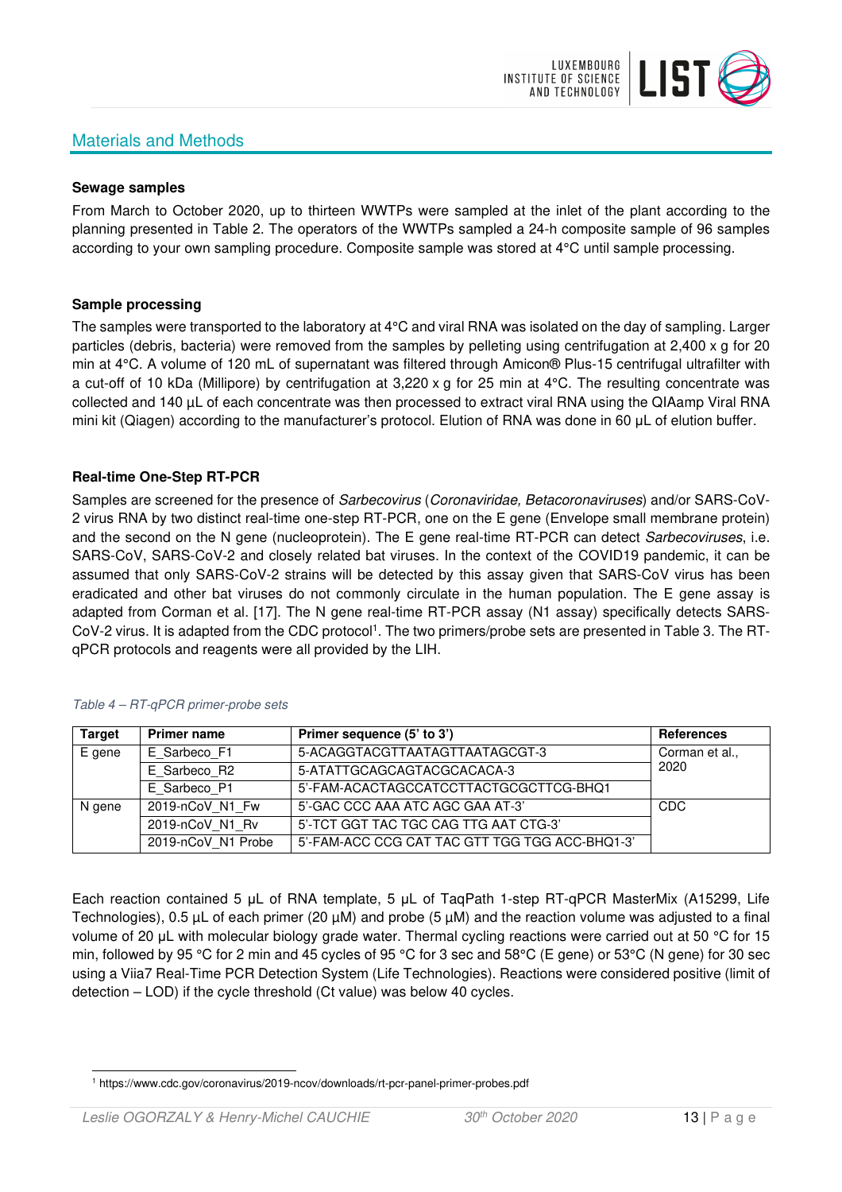# Materials and Methods



#### **Sewage samples**

From March to October 2020, up to thirteen WWTPs were sampled at the inlet of the plant according to the planning presented in Table 2. The operators of the WWTPs sampled a 24-h composite sample of 96 samples according to your own sampling procedure. Composite sample was stored at 4°C until sample processing.

#### **Sample processing**

The samples were transported to the laboratory at 4°C and viral RNA was isolated on the day of sampling. Larger particles (debris, bacteria) were removed from the samples by pelleting using centrifugation at 2,400 x g for 20 min at 4°C. A volume of 120 mL of supernatant was filtered through Amicon® Plus-15 centrifugal ultrafilter with a cut-off of 10 kDa (Millipore) by centrifugation at 3,220 x g for 25 min at 4°C. The resulting concentrate was collected and 140 µL of each concentrate was then processed to extract viral RNA using the QIAamp Viral RNA mini kit (Qiagen) according to the manufacturer's protocol. Elution of RNA was done in 60 μL of elution buffer.

### **Real-time One-Step RT-PCR**

Samples are screened for the presence of *Sarbecovirus (Coronaviridae, Betacoronaviruses*) and/or SARS-CoV-2 virus RNA by two distinct real-time one-step RT-PCR, one on the E gene (Envelope small membrane protein) and the second on the N gene (nucleoprotein). The E gene real-time RT-PCR can detect Sarbecoviruses, i.e. SARS-CoV, SARS-CoV-2 and closely related bat viruses. In the context of the COVID19 pandemic, it can be assumed that only SARS-CoV-2 strains will be detected by this assay given that SARS-CoV virus has been eradicated and other bat viruses do not commonly circulate in the human population. The E gene assay is adapted from Corman et al. [17]. The N gene real-time RT-PCR assay (N1 assay) specifically detects SARS-CoV-2 virus. It is adapted from the CDC protocol<sup>1</sup>. The two primers/probe sets are presented in Table 3. The RTqPCR protocols and reagents were all provided by the LIH.

| <b>Target</b> | <b>Primer name</b> | Primer sequence (5' to 3')                     | <b>References</b> |
|---------------|--------------------|------------------------------------------------|-------------------|
| E gene        | E Sarbeco F1       | 5-ACAGGTACGTTAATAGTTAATAGCGT-3                 | Corman et al.,    |
|               | E Sarbeco R2       | 5-ATATTGCAGCAGTACGCACACA-3                     | 2020              |
|               | E Sarbeco P1       | 5'-FAM-ACACTAGCCATCCTTACTGCGCTTCG-BHQ1         |                   |
| N gene        | 2019-nCoV N1 Fw    | 5'-GAC CCC AAA ATC AGC GAA AT-3'               | CDC               |
|               | 2019-nCoV N1 Rv    | 5'-TCT GGT TAC TGC CAG TTG AAT CTG-3'          |                   |
|               | 2019-nCoV N1 Probe | 5'-FAM-ACC CCG CAT TAC GTT TGG TGG ACC-BHQ1-3' |                   |

#### Table 4 – RT-qPCR primer-probe sets

Each reaction contained 5 μL of RNA template, 5 μL of TaqPath 1-step RT-qPCR MasterMix (A15299, Life Technologies), 0.5 µL of each primer (20 µM) and probe (5 µM) and the reaction volume was adjusted to a final volume of 20 μL with molecular biology grade water. Thermal cycling reactions were carried out at 50 °C for 15 min, followed by 95 °C for 2 min and 45 cycles of 95 °C for 3 sec and 58°C (E gene) or 53°C (N gene) for 30 sec using a Viia7 Real-Time PCR Detection System (Life Technologies). Reactions were considered positive (limit of detection – LOD) if the cycle threshold (Ct value) was below 40 cycles.

<sup>1</sup> https://www.cdc.gov/coronavirus/2019-ncov/downloads/rt-pcr-panel-primer-probes.pdf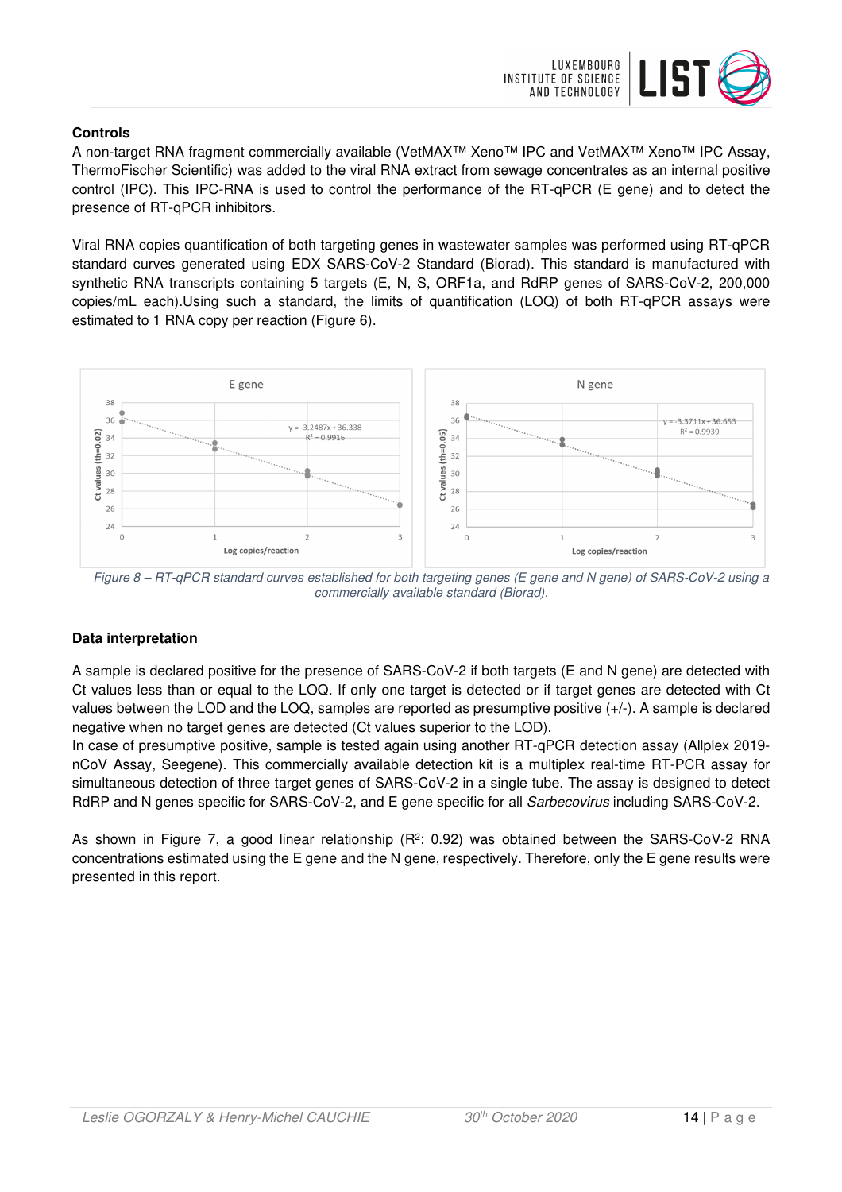

## **Controls**

A non-target RNA fragment commercially available (VetMAX™ Xeno™ IPC and VetMAX™ Xeno™ IPC Assay, ThermoFischer Scientific) was added to the viral RNA extract from sewage concentrates as an internal positive control (IPC). This IPC-RNA is used to control the performance of the RT-qPCR (E gene) and to detect the presence of RT-qPCR inhibitors.

Viral RNA copies quantification of both targeting genes in wastewater samples was performed using RT-qPCR standard curves generated using EDX SARS-CoV-2 Standard (Biorad). This standard is manufactured with synthetic RNA transcripts containing 5 targets (E, N, S, ORF1a, and RdRP genes of SARS-CoV-2, 200,000 copies/mL each).Using such a standard, the limits of quantification (LOQ) of both RT-qPCR assays were estimated to 1 RNA copy per reaction (Figure 6).



Figure 8 – RT-qPCR standard curves established for both targeting genes (E gene and N gene) of SARS-CoV-2 using a commercially available standard (Biorad).

# **Data interpretation**

A sample is declared positive for the presence of SARS-CoV-2 if both targets (E and N gene) are detected with Ct values less than or equal to the LOQ. If only one target is detected or if target genes are detected with Ct values between the LOD and the LOQ, samples are reported as presumptive positive (+/-). A sample is declared negative when no target genes are detected (Ct values superior to the LOD).

In case of presumptive positive, sample is tested again using another RT-qPCR detection assay (Allplex 2019 nCoV Assay, Seegene). This commercially available detection kit is a multiplex real-time RT-PCR assay for simultaneous detection of three target genes of SARS-CoV-2 in a single tube. The assay is designed to detect RdRP and N genes specific for SARS-CoV-2, and E gene specific for all Sarbecovirus including SARS-CoV-2.

As shown in Figure 7, a good linear relationship ( $R^2$ : 0.92) was obtained between the SARS-CoV-2 RNA concentrations estimated using the E gene and the N gene, respectively. Therefore, only the E gene results were presented in this report.